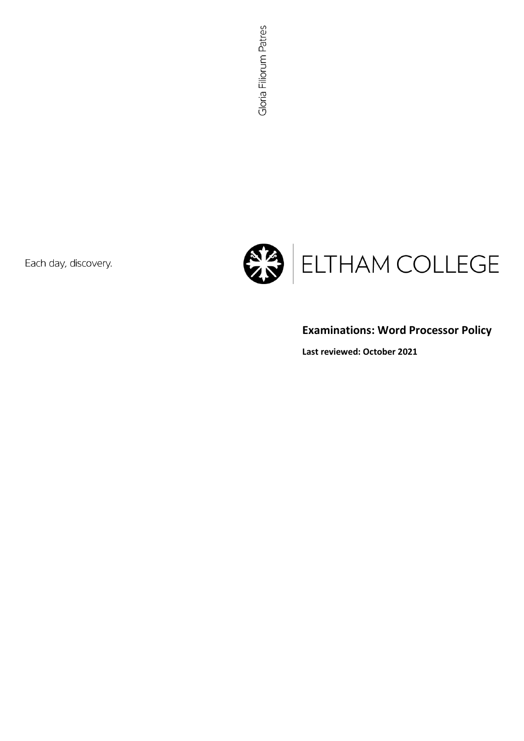Each day, discovery.



# **Examinations: Word Processor Policy**

**Last reviewed: October 2021**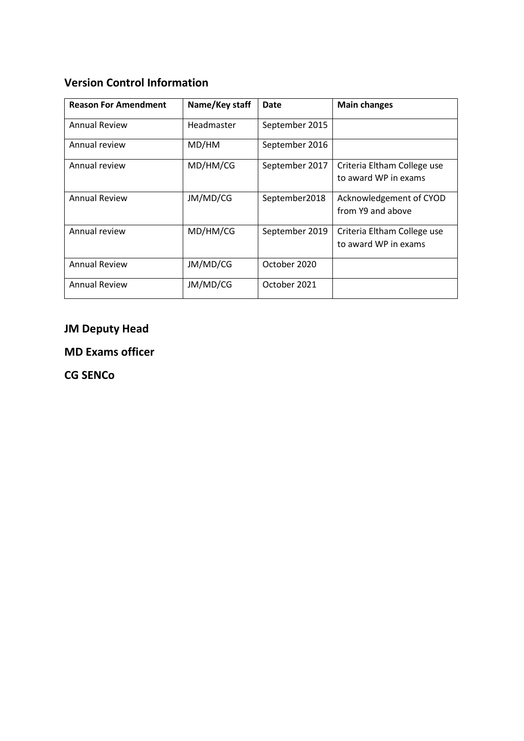# **Version Control Information**

| <b>Reason For Amendment</b> | Name/Key staff | Date           | <b>Main changes</b>                                 |
|-----------------------------|----------------|----------------|-----------------------------------------------------|
| <b>Annual Review</b>        | Headmaster     | September 2015 |                                                     |
| Annual review               | MD/HM          | September 2016 |                                                     |
| Annual review               | MD/HM/CG       | September 2017 | Criteria Eltham College use<br>to award WP in exams |
| <b>Annual Review</b>        | JM/MD/CG       | September2018  | Acknowledgement of CYOD<br>from Y9 and above        |
| Annual review               | MD/HM/CG       | September 2019 | Criteria Eltham College use<br>to award WP in exams |
| <b>Annual Review</b>        | JM/MD/CG       | October 2020   |                                                     |
| <b>Annual Review</b>        | JM/MD/CG       | October 2021   |                                                     |

# **JM Deputy Head**

**MD Exams officer**

**CG SENCo**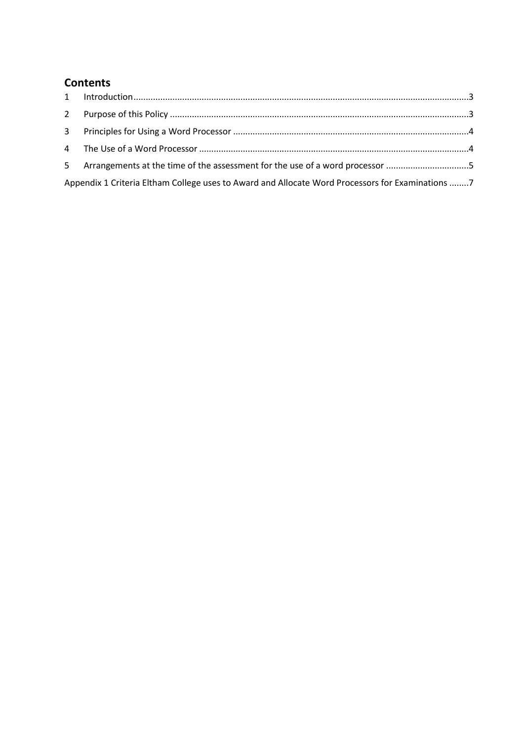## **Contents**

| 5 Arrangements at the time of the assessment for the use of a word processor 5                   |  |
|--------------------------------------------------------------------------------------------------|--|
| Appendix 1 Criteria Eltham College uses to Award and Allocate Word Processors for Examinations 7 |  |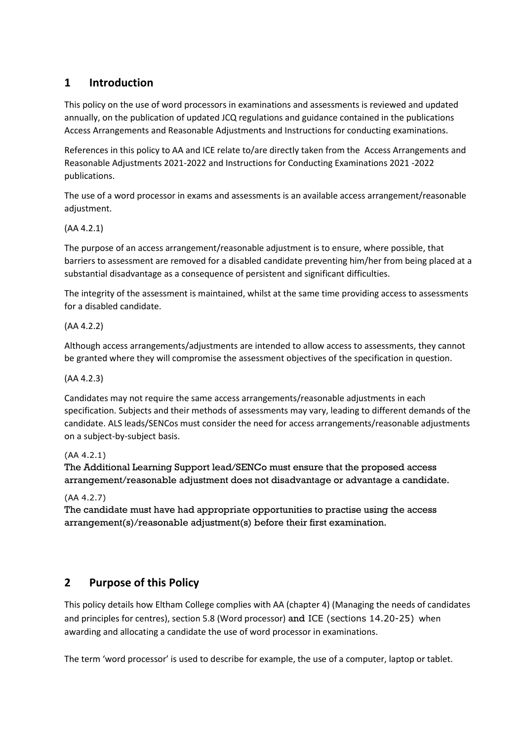### <span id="page-3-0"></span>**1 Introduction**

This policy on the use of word processors in examinations and assessments is reviewed and updated annually, on the publication of updated JCQ regulations and guidance contained in the publications [Access Arrangements and Reasonable Adjustments](http://www.jcq.org.uk/exams-office/access-arrangements-and-special-consideration/regulations-and-guidance) an[d Instructions for conducting examinations.](http://www.jcq.org.uk/exams-office/ice---instructions-for-conducting-examinations) 

References in this policy to AA and ICE relate to/are directly taken from the [Access Arrangements and](http://www.jcq.org.uk/exams-office/access-arrangements-and-special-consideration/regulations-and-guidance)  [Reasonable Adjustments 2021-2022](http://www.jcq.org.uk/exams-office/access-arrangements-and-special-consideration/regulations-and-guidance) and [Instructions for Conducting Examinations 2021](http://www.jcq.org.uk/exams-office/ice---instructions-for-conducting-examinations) -2022 publications.

The use of a word processor in exams and assessments is an available access arrangement/reasonable adjustment.

### (AA 4.2.1)

The purpose of an access arrangement/reasonable adjustment is to ensure, where possible, that barriers to assessment are removed for a disabled candidate preventing him/her from being placed at a substantial disadvantage as a consequence of persistent and significant difficulties.

The integrity of the assessment is maintained, whilst at the same time providing access to assessments for a disabled candidate.

### (AA 4.2.2)

Although access arrangements/adjustments are intended to allow access to assessments, they cannot be granted where they will compromise the assessment objectives of the specification in question.

### (AA 4.2.3)

Candidates may not require the same access arrangements/reasonable adjustments in each specification. Subjects and their methods of assessments may vary, leading to different demands of the candidate. ALS leads/SENCos must consider the need for access arrangements/reasonable adjustments on a subject-by-subject basis.

### (AA 4.2.1)

The Additional Learning Support lead/SENCo must ensure that the proposed access arrangement/reasonable adjustment does not disadvantage or advantage a candidate.

### (AA 4.2.7)

The candidate must have had appropriate opportunities to practise using the access arrangement(s)/reasonable adjustment(s) before their first examination.

### <span id="page-3-1"></span>**2 Purpose of this Policy**

This policy details how Eltham College complies with AA (chapter 4) (Managing the needs of candidates and principles for centres), section 5.8 (Word processor) and ICE (sections 14.20-25) when awarding and allocating a candidate the use of word processor in examinations.

The term 'word processor' is used to describe for example, the use of a computer, laptop or tablet.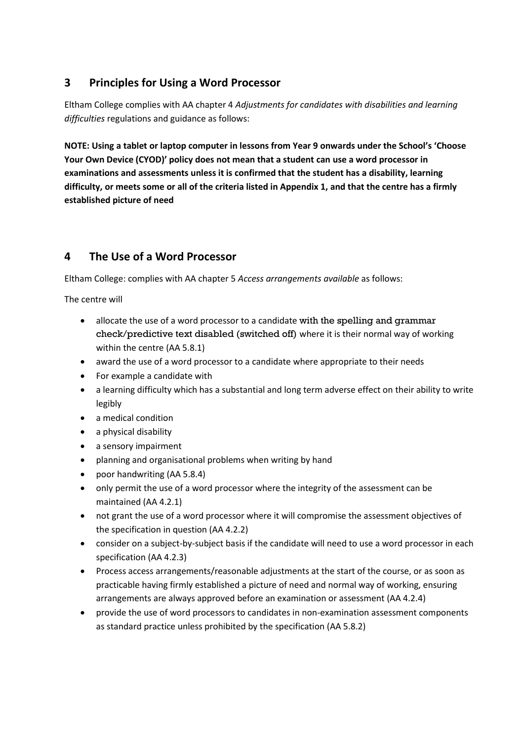### <span id="page-4-0"></span>**3 Principles for Using a Word Processor**

Eltham College complies with AA chapter 4 *Adjustments for candidates with disabilities and learning difficulties* regulations and guidance as follows:

**NOTE: Using a tablet or laptop computer in lessons from Year 9 onwards under the School's 'Choose Your Own Device (CYOD)' policy does not mean that a student can use a word processor in examinations and assessments unless it is confirmed that the student has a disability, learning difficulty, or meets some or all of the criteria listed in Appendix 1, and that the centre has a firmly established picture of need**

### <span id="page-4-1"></span>**4 The Use of a Word Processor**

Eltham College: complies with AA chapter 5 *Access arrangements available* as follows:

The centre will

- allocate the use of a word processor to a candidate with the spelling and grammar check/predictive text disabled (switched off) where it is their normal way of working within the centre (AA 5.8.1)
- award the use of a word processor to a candidate where appropriate to their needs
- For example a candidate with
- a learning difficulty which has a substantial and long term adverse effect on their ability to write legibly
- a medical condition
- a physical disability
- a sensory impairment
- planning and organisational problems when writing by hand
- poor handwriting (AA 5.8.4)
- only permit the use of a word processor where the integrity of the assessment can be maintained (AA 4.2.1)
- not grant the use of a word processor where it will compromise the assessment objectives of the specification in question (AA 4.2.2)
- consider on a subject-by-subject basis if the candidate will need to use a word processor in each specification (AA 4.2.3)
- Process access arrangements/reasonable adjustments at the start of the course, or as soon as practicable having firmly established a picture of need and normal way of working, ensuring arrangements are always approved before an examination or assessment (AA 4.2.4)
- provide the use of word processors to candidates in non-examination assessment components as standard practice unless prohibited by the specification (AA 5.8.2)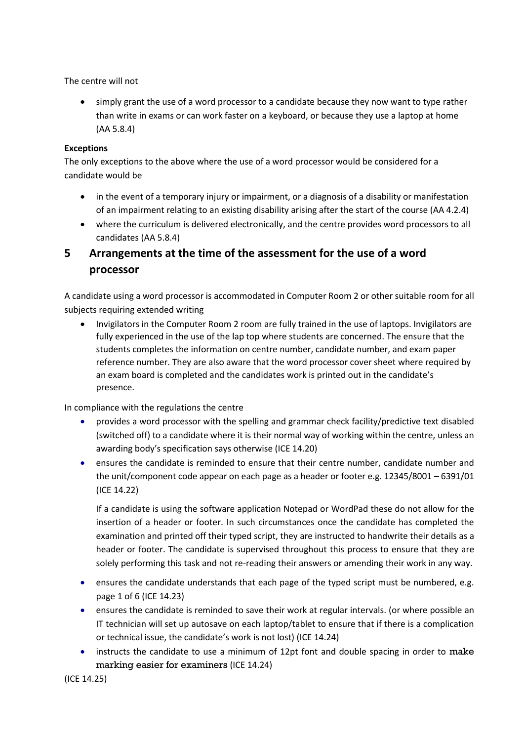The centre will not

• simply grant the use of a word processor to a candidate because they now want to type rather than write in exams or can work faster on a keyboard, or because they use a laptop at home (AA 5.8.4)

### **Exceptions**

The only exceptions to the above where the use of a word processor would be considered for a candidate would be

- in the event of a temporary injury or impairment, or a diagnosis of a disability or manifestation of an impairment relating to an existing disability arising after the start of the course (AA 4.2.4)
- where the curriculum is delivered electronically, and the centre provides word processors to all candidates (AA 5.8.4)

### <span id="page-5-0"></span>**5 Arrangements at the time of the assessment for the use of a word processor**

A candidate using a word processor is accommodated in Computer Room 2 or other suitable room for all subjects requiring extended writing

• Invigilators in the Computer Room 2 room are fully trained in the use of laptops. Invigilators are fully experienced in the use of the lap top where students are concerned. The ensure that the students completes the information on centre number, candidate number, and exam paper reference number. They are also aware that the word processor cover sheet where required by an exam board is completed and the candidates work is printed out in the candidate's presence.

In compliance with the regulations the centre

- provides a word processor with the spelling and grammar check facility/predictive text disabled (switched off) to a candidate where it is their normal way of working within the centre, unless an awarding body's specification says otherwise (ICE 14.20)
- ensures the candidate is reminded to ensure that their centre number, candidate number and the unit/component code appear on each page as a header or footer e.g. 12345/8001 – 6391/01 (ICE 14.22)

If a candidate is using the software application Notepad or WordPad these do not allow for the insertion of a header or footer. In such circumstances once the candidate has completed the examination and printed off their typed script, they are instructed to handwrite their details as a header or footer. The candidate is supervised throughout this process to ensure that they are solely performing this task and not re-reading their answers or amending their work in any way.

- ensures the candidate understands that each page of the typed script must be numbered, e.g. page 1 of 6 (ICE 14.23)
- ensures the candidate is reminded to save their work at regular intervals. (or where possible an IT technician will set up autosave on each laptop/tablet to ensure that if there is a complication or technical issue, the candidate's work is not lost) (ICE 14.24)
- instructs the candidate to use a minimum of 12pt font and double spacing in order to make marking easier for examiners (ICE 14.24)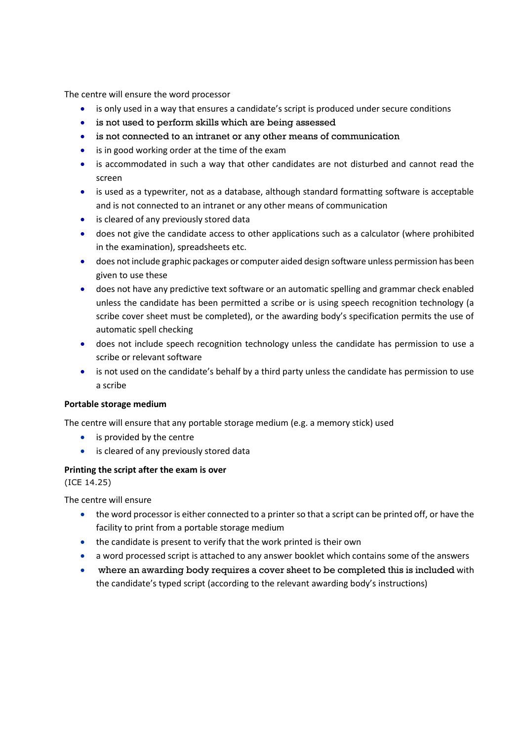The centre will ensure the word processor

- is only used in a way that ensures a candidate's script is produced under secure conditions
- is not used to perform skills which are being assessed
- is not connected to an intranet or any other means of communication
- is in good working order at the time of the exam
- is accommodated in such a way that other candidates are not disturbed and cannot read the screen
- is used as a typewriter, not as a database, although standard formatting software is acceptable and is not connected to an intranet or any other means of communication
- is cleared of any previously stored data
- does not give the candidate access to other applications such as a calculator (where prohibited in the examination), spreadsheets etc.
- does not include graphic packages or computer aided design software unless permission has been given to use these
- does not have any predictive text software or an automatic spelling and grammar check enabled unless the candidate has been permitted a scribe or is using speech recognition technology (a scribe cover sheet must be completed), or the awarding body's specification permits the use of automatic spell checking
- does not include speech recognition technology unless the candidate has permission to use a scribe or relevant software
- is not used on the candidate's behalf by a third party unless the candidate has permission to use a scribe

### **Portable storage medium**

The centre will ensure that any portable storage medium (e.g. a memory stick) used

- is provided by the centre
- is cleared of any previously stored data

#### **Printing the script after the exam is over**

(ICE 14.25)

The centre will ensure

- the word processor is either connected to a printer so that a script can be printed off, or have the facility to print from a portable storage medium
- the candidate is present to verify that the work printed is their own
- a word processed script is attached to any answer booklet which contains some of the answers
- where an awarding body requires a cover sheet to be completed this is included with the candidate's typed script (according to the relevant awarding body's instructions)